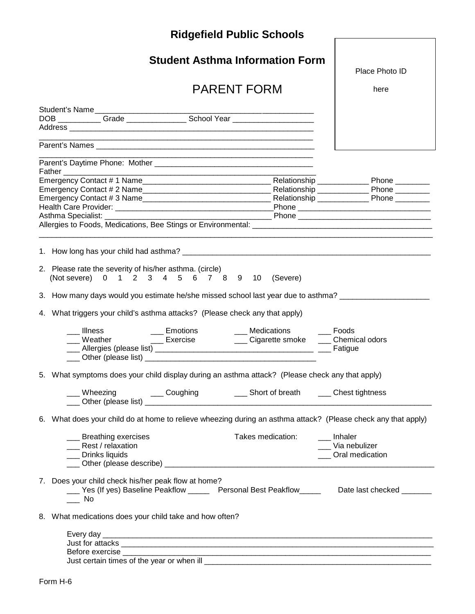| <b>Ridgefield Public Schools</b>                                                                                                                                        |                                        |                                         |  |  |  |
|-------------------------------------------------------------------------------------------------------------------------------------------------------------------------|----------------------------------------|-----------------------------------------|--|--|--|
|                                                                                                                                                                         | <b>Student Asthma Information Form</b> | Place Photo ID                          |  |  |  |
| <b>PARENT FORM</b>                                                                                                                                                      |                                        | here                                    |  |  |  |
| Student's Name<br>DOB ____________Grade ___________________School Year ___________________________                                                                      |                                        |                                         |  |  |  |
|                                                                                                                                                                         |                                        |                                         |  |  |  |
|                                                                                                                                                                         |                                        |                                         |  |  |  |
|                                                                                                                                                                         |                                        |                                         |  |  |  |
|                                                                                                                                                                         |                                        |                                         |  |  |  |
| 2. Please rate the severity of his/her asthma. (circle)<br>(Not severe) 0 1 2 3 4 5 6 7 8 9 10 (Severe)                                                                 |                                        |                                         |  |  |  |
| 3. How many days would you estimate he/she missed school last year due to asthma? __________________                                                                    |                                        |                                         |  |  |  |
| 4. What triggers your child's asthma attacks? (Please check any that apply)                                                                                             |                                        |                                         |  |  |  |
| ___ Illness<br>___ Illness _____ ____ Emotions _____ ___ Medications _____ Foods ____ __<br>___ Weather _____ ___ Exercise ____ ___ Cigarette smoke ____ Chemical odors |                                        | $\_\_$ Foods                            |  |  |  |
| 5. What symptoms does your child display during an asthma attack? (Please check any that apply)                                                                         |                                        |                                         |  |  |  |
|                                                                                                                                                                         |                                        |                                         |  |  |  |
| 6. What does your child do at home to relieve wheezing during an asthma attack? (Please check any that apply)                                                           |                                        |                                         |  |  |  |
| __ Breathing exercises<br>___ Rest / relaxation<br>___ Drinks liquids                                                                                                   | Takes medication: Inhaler              | __ Via nebulizer<br>___ Oral medication |  |  |  |
| 7. Does your child check his/her peak flow at home?<br>___ Yes (If yes) Baseline Peakflow _____ Personal Best Peakflow ____ Date last checked ______<br>– No            |                                        |                                         |  |  |  |
| 8. What medications does your child take and how often?                                                                                                                 |                                        |                                         |  |  |  |
|                                                                                                                                                                         |                                        |                                         |  |  |  |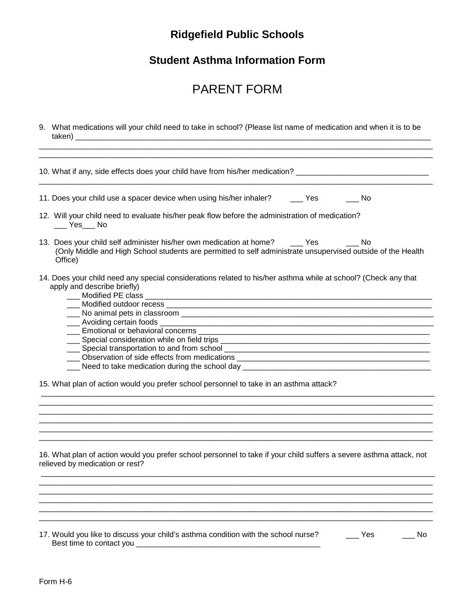## **Ridgefield Public Schools**

### **Student Asthma Information Form**

# PARENT FORM

9. What medications will your child need to take in school? (Please list name of medication and when it is to be taken) \_\_\_\_\_\_\_\_\_\_\_\_\_\_\_\_\_\_\_\_\_\_\_\_\_\_\_\_\_\_\_\_\_\_\_\_\_\_\_\_\_\_\_\_\_\_\_\_\_\_\_\_\_\_\_\_\_\_\_\_\_\_\_\_\_\_\_\_\_\_\_\_\_\_\_\_\_\_\_\_\_\_\_

| 10. What if any, side effects does your child have from his/her medication?                                                                                                                                                    |      |
|--------------------------------------------------------------------------------------------------------------------------------------------------------------------------------------------------------------------------------|------|
| 11. Does your child use a spacer device when using his/her inhaler? ______ Yes                                                                                                                                                 | i No |
| 12. Will your child need to evaluate his/her peak flow before the administration of medication?<br>$\rule{1em}{0.15mm}$ Yes $\rule{1em}{0.15mm}$ No                                                                            |      |
| 13. Does your child self administer his/her own medication at home? _____ Yes<br>(Only Middle and High School students are permitted to self administrate unsupervised outside of the Health<br>Office)                        | - No |
| 14. Does your child need any special considerations related to his/her asthma while at school? (Check any that<br>apply and describe briefly)                                                                                  |      |
|                                                                                                                                                                                                                                |      |
| Lacence Emotional or behavioral concerns Lacence Lacence Lacence Lacence Lacence Lacence Lacence Lacence Lacen                                                                                                                 |      |
|                                                                                                                                                                                                                                |      |
|                                                                                                                                                                                                                                |      |
|                                                                                                                                                                                                                                |      |
| Let Need to take medication during the school day Letting Community Control of Need to take medication during the school day Letting Community Control of Need Assembly Control of New York Control of New York Control of New |      |
| 15. What plan of action would you prefer school personnel to take in an asthma attack?                                                                                                                                         |      |
|                                                                                                                                                                                                                                |      |
|                                                                                                                                                                                                                                |      |
|                                                                                                                                                                                                                                |      |
|                                                                                                                                                                                                                                |      |

\_\_\_\_\_\_\_\_\_\_\_\_\_\_\_\_\_\_\_\_\_\_\_\_\_\_\_\_\_\_\_\_\_\_\_\_\_\_\_\_\_\_\_\_\_\_\_\_\_\_\_\_\_\_\_\_\_\_\_\_\_\_\_\_\_\_\_\_\_\_\_\_\_\_\_\_\_\_\_\_\_\_\_\_\_\_\_\_\_\_\_\_ \_\_\_\_\_\_\_\_\_\_\_\_\_\_\_\_\_\_\_\_\_\_\_\_\_\_\_\_\_\_\_\_\_\_\_\_\_\_\_\_\_\_\_\_\_\_\_\_\_\_\_\_\_\_\_\_\_\_\_\_\_\_\_\_\_\_\_\_\_\_\_\_\_\_\_\_\_\_\_\_\_\_\_\_\_\_\_\_\_\_\_\_  $\_$  ,  $\_$  ,  $\_$  ,  $\_$  ,  $\_$  ,  $\_$  ,  $\_$  ,  $\_$  ,  $\_$  ,  $\_$  ,  $\_$  ,  $\_$  ,  $\_$  ,  $\_$  ,  $\_$  ,  $\_$  ,  $\_$  ,  $\_$  ,  $\_$  ,  $\_$  ,  $\_$  ,  $\_$  ,  $\_$  ,  $\_$  ,  $\_$  ,  $\_$  ,  $\_$  ,  $\_$  ,  $\_$  ,  $\_$  ,  $\_$  ,  $\_$  ,  $\_$  ,  $\_$  ,  $\_$  ,  $\_$  ,  $\_$  ,  $\_$  ,  $\_$  ,  $\_$  ,  $\_$  ,  $\_$  ,  $\_$  ,  $\_$  ,  $\_$  ,  $\_$  ,  $\_$  ,  $\_$  ,  $\_$  ,  $\_$  ,  $\_$  ,  $\_$  ,  $\_$  ,  $\_$  ,  $\_$  ,  $\_$  ,  $\_$  ,  $\_$  ,  $\_$  ,  $\_$  ,  $\_$  ,  $\_$  ,  $\_$  ,  $\_$  ,  $\_$  ,  $\_$  ,  $\_$  ,  $\_$  ,  $\_$  ,  $\_$  ,  $\_$  ,  $\_$  ,  $\_$  ,  $\_$  , \_\_\_\_\_\_\_\_\_\_\_\_\_\_\_\_\_\_\_\_\_\_\_\_\_\_\_\_\_\_\_\_\_\_\_\_\_\_\_\_\_\_\_\_\_\_\_\_\_\_\_\_\_\_\_\_\_\_\_\_\_\_\_\_\_\_\_\_\_\_\_\_\_\_\_\_\_\_\_\_\_\_\_\_\_\_\_\_\_\_\_\_  $\_$  ,  $\_$  ,  $\_$  ,  $\_$  ,  $\_$  ,  $\_$  ,  $\_$  ,  $\_$  ,  $\_$  ,  $\_$  ,  $\_$  ,  $\_$  ,  $\_$  ,  $\_$  ,  $\_$  ,  $\_$  ,  $\_$  ,  $\_$  ,  $\_$  ,  $\_$  ,  $\_$  ,  $\_$  ,  $\_$  ,  $\_$  ,  $\_$  ,  $\_$  ,  $\_$  ,  $\_$  ,  $\_$  ,  $\_$  ,  $\_$  ,  $\_$  ,  $\_$  ,  $\_$  ,  $\_$  ,  $\_$  ,  $\_$  ,

relieved by medication or rest?

17. Would you like to discuss your child's asthma condition with the school nurse? \_\_\_\_\_ Yes \_\_\_\_\_\_ No Best time to contact you \_\_\_\_\_\_\_\_\_\_\_\_\_\_\_\_\_\_\_\_\_\_\_\_\_\_\_\_\_\_\_\_\_\_\_\_\_\_\_\_\_\_\_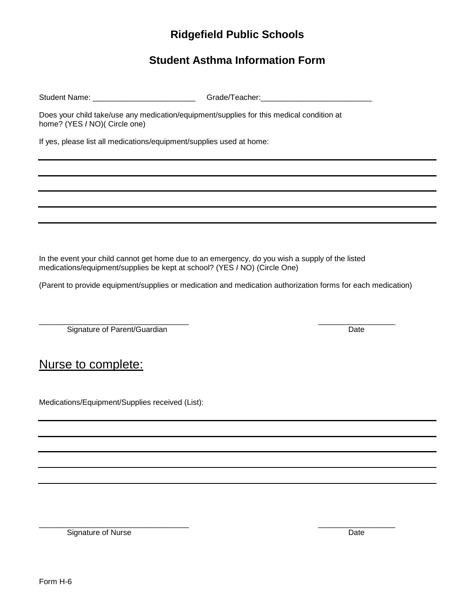### **Ridgefield Public Schools**

#### **Student Asthma Information Form**

Student Name: \_\_\_\_\_\_\_\_\_\_\_\_\_\_\_\_\_\_\_\_\_\_\_\_\_\_\_\_\_\_\_\_\_Grade/Teacher: \_\_\_\_\_\_\_\_\_\_\_\_\_\_\_\_\_\_

Does your child take/use any medication/equipment/supplies for this medical condition at home? (YES *I* NO)( Circle one)

If yes, please list all medications/equipment/supplies used at home:

In the event your child cannot get home due to an emergency, do you wish a supply of the listed medications/equipment/supplies be kept at school? (YES *I* NO) (Circle One)

(Parent to provide equipment/supplies or medication and medication authorization forms for each medication)

\_\_\_\_\_\_\_\_\_\_\_\_\_\_\_\_\_\_\_\_\_\_\_\_\_\_\_\_\_\_\_\_\_\_\_ \_\_\_\_\_\_\_\_\_\_\_\_\_\_\_\_\_\_ Signature of Parent/Guardian **Date** Date **Date** Date

Nurse to complete:

Medications/Equipment/Supplies received (List):

\_\_\_\_\_\_\_\_\_\_\_\_\_\_\_\_\_\_\_\_\_\_\_\_\_\_\_\_\_\_\_\_\_\_\_ \_\_\_\_\_\_\_\_\_\_\_\_\_\_\_\_\_\_ Signature of Nurse Date